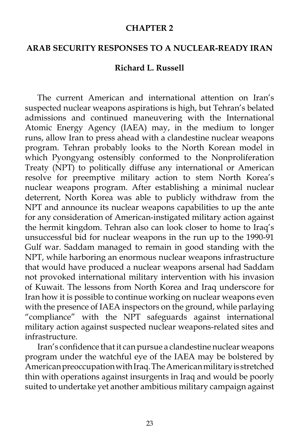#### **CHAPTER 2**

#### **ARAB SECURITY RESPONSES TO A NUCLEAR-READY IRAN**

### **Richard L. Russell**

 The current American and international attention on Iran's suspected nuclear weapons aspirations is high, but Tehran's belated admissions and continued maneuvering with the International Atomic Energy Agency (IAEA) may, in the medium to longer runs, allow Iran to press ahead with a clandestine nuclear weapons program. Tehran probably looks to the North Korean model in which Pyongyang ostensibly conformed to the Nonproliferation Treaty (NPT) to politically diffuse any international or American resolve for preemptive military action to stem North Korea's nuclear weapons program. After establishing a minimal nuclear deterrent, North Korea was able to publicly withdraw from the NPT and announce its nuclear weapons capabilities to up the ante for any consideration of American-instigated military action against the hermit kingdom. Tehran also can look closer to home to Iraq's unsuccessful bid for nuclear weapons in the run up to the 1990-91 Gulf war. Saddam managed to remain in good standing with the NPT, while harboring an enormous nuclear weapons infrastructure that would have produced a nuclear weapons arsenal had Saddam not provoked international military intervention with his invasion of Kuwait. The lessons from North Korea and Iraq underscore for Iran how it is possible to continue working on nuclear weapons even with the presence of IAEA inspectors on the ground, while parlaying "compliance" with the NPT safeguards against international military action against suspected nuclear weapons-related sites and infrastructure.

 Iran's confidence that it can pursue a clandestine nuclear weapons program under the watchful eye of the IAEA may be bolstered by American preoccupation with Iraq. The American military is stretched thin with operations against insurgents in Iraq and would be poorly suited to undertake yet another ambitious military campaign against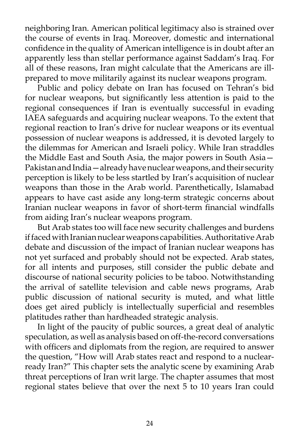neighboring Iran. American political legitimacy also is strained over the course of events in Iraq. Moreover, domestic and international confidence in the quality of American intelligence is in doubt after an apparently less than stellar performance against Saddam's Iraq. For all of these reasons, Iran might calculate that the Americans are illprepared to move militarily against its nuclear weapons program.

 Public and policy debate on Iran has focused on Tehran's bid for nuclear weapons, but significantly less attention is paid to the regional consequences if Iran is eventually successful in evading IAEA safeguards and acquiring nuclear weapons. To the extent that regional reaction to Iran's drive for nuclear weapons or its eventual possession of nuclear weapons is addressed, it is devoted largely to the dilemmas for American and Israeli policy. While Iran straddles the Middle East and South Asia, the major powers in South Asia— Pakistan and India—already have nuclear weapons, and their security perception is likely to be less startled by Iran's acquisition of nuclear weapons than those in the Arab world. Parenthetically, Islamabad appears to have cast aside any long-term strategic concerns about Iranian nuclear weapons in favor of short-term financial windfalls from aiding Iran's nuclear weapons program.

 But Arab states too will face new security challenges and burdens if faced with Iranian nuclear weapons capabilities. Authoritative Arab debate and discussion of the impact of Iranian nuclear weapons has not yet surfaced and probably should not be expected. Arab states, for all intents and purposes, still consider the public debate and discourse of national security policies to be taboo. Notwithstanding the arrival of satellite television and cable news programs, Arab public discussion of national security is muted, and what little does get aired publicly is intellectually superficial and resembles platitudes rather than hardheaded strategic analysis.

 In light of the paucity of public sources, a great deal of analytic speculation, as well as analysis based on off-the-record conversations with officers and diplomats from the region, are required to answer the question, "How will Arab states react and respond to a nuclearready Iran?" This chapter sets the analytic scene by examining Arab threat perceptions of Iran writ large. The chapter assumes that most regional states believe that over the next 5 to 10 years Iran could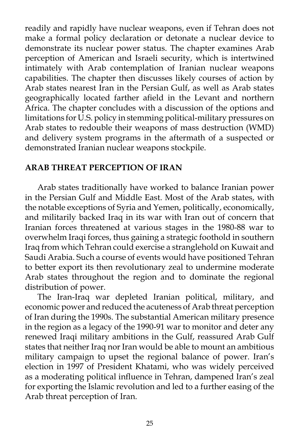readily and rapidly have nuclear weapons, even if Tehran does not make a formal policy declaration or detonate a nuclear device to demonstrate its nuclear power status. The chapter examines Arab perception of American and Israeli security, which is intertwined intimately with Arab contemplation of Iranian nuclear weapons capabilities. The chapter then discusses likely courses of action by Arab states nearest Iran in the Persian Gulf, as well as Arab states geographically located farther afield in the Levant and northern Africa. The chapter concludes with a discussion of the options and limitations for U.S. policy in stemming political-military pressures on Arab states to redouble their weapons of mass destruction (WMD) and delivery system programs in the aftermath of a suspected or demonstrated Iranian nuclear weapons stockpile.

# **ARAB THREAT PERCEPTION OF IRAN**

 Arab states traditionally have worked to balance Iranian power in the Persian Gulf and Middle East. Most of the Arab states, with the notable exceptions of Syria and Yemen, politically, economically, and militarily backed Iraq in its war with Iran out of concern that Iranian forces threatened at various stages in the 1980-88 war to overwhelm Iraqi forces, thus gaining a strategic foothold in southern Iraq from which Tehran could exercise a stranglehold on Kuwait and Saudi Arabia. Such a course of events would have positioned Tehran to better export its then revolutionary zeal to undermine moderate Arab states throughout the region and to dominate the regional distribution of power.

 The Iran-Iraq war depleted Iranian political, military, and economic power and reduced the acuteness of Arab threat perception of Iran during the 1990s. The substantial American military presence in the region as a legacy of the 1990-91 war to monitor and deter any renewed Iraqi military ambitions in the Gulf, reassured Arab Gulf states that neither Iraq nor Iran would be able to mount an ambitious military campaign to upset the regional balance of power. Iran's election in 1997 of President Khatami, who was widely perceived as a moderating political influence in Tehran, dampened Iran's zeal for exporting the Islamic revolution and led to a further easing of the Arab threat perception of Iran.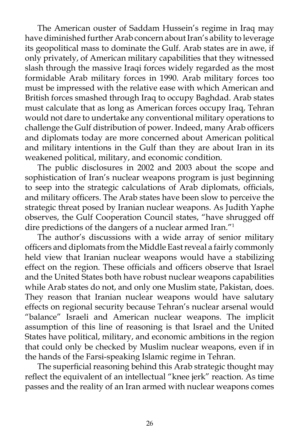The American ouster of Saddam Hussein's regime in Iraq may have diminished further Arab concern about Iran's ability to leverage its geopolitical mass to dominate the Gulf. Arab states are in awe, if only privately, of American military capabilities that they witnessed slash through the massive Iraqi forces widely regarded as the most formidable Arab military forces in 1990. Arab military forces too must be impressed with the relative ease with which American and British forces smashed through Iraq to occupy Baghdad. Arab states must calculate that as long as American forces occupy Iraq, Tehran would not dare to undertake any conventional military operations to challenge the Gulf distribution of power. Indeed, many Arab officers and diplomats today are more concerned about American political and military intentions in the Gulf than they are about Iran in its weakened political, military, and economic condition.

 The public disclosures in 2002 and 2003 about the scope and sophistication of Iran's nuclear weapons program is just beginning to seep into the strategic calculations of Arab diplomats, officials, and military officers. The Arab states have been slow to perceive the strategic threat posed by Iranian nuclear weapons. As Judith Yaphe observes, the Gulf Cooperation Council states, "have shrugged off dire predictions of the dangers of a nuclear armed Iran."<sup>1</sup>

 The author's discussions with a wide array of senior military officers and diplomats from the Middle East reveal a fairly commonly held view that Iranian nuclear weapons would have a stabilizing effect on the region. These officials and officers observe that Israel and the United States both have robust nuclear weapons capabilities while Arab states do not, and only one Muslim state, Pakistan, does. They reason that Iranian nuclear weapons would have salutary effects on regional security because Tehran's nuclear arsenal would "balance" Israeli and American nuclear weapons. The implicit assumption of this line of reasoning is that Israel and the United States have political, military, and economic ambitions in the region that could only be checked by Muslim nuclear weapons, even if in the hands of the Farsi-speaking Islamic regime in Tehran.

 The superficial reasoning behind this Arab strategic thought may reflect the equivalent of an intellectual "knee jerk" reaction. As time passes and the reality of an Iran armed with nuclear weapons comes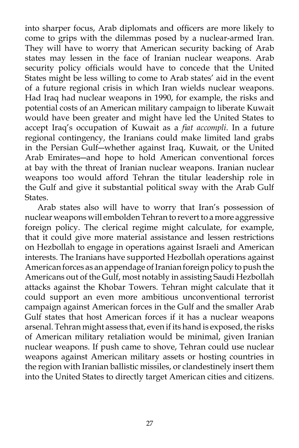into sharper focus, Arab diplomats and officers are more likely to come to grips with the dilemmas posed by a nuclear-armed Iran. They will have to worry that American security backing of Arab states may lessen in the face of Iranian nuclear weapons. Arab security policy officials would have to concede that the United States might be less willing to come to Arab states' aid in the event of a future regional crisis in which Iran wields nuclear weapons. Had Iraq had nuclear weapons in 1990, for example, the risks and potential costs of an American military campaign to liberate Kuwait would have been greater and might have led the United States to accept Iraq's occupation of Kuwait as a *fiat accompli*. In a future regional contingency, the Iranians could make limited land grabs in the Persian Gulf―whether against Iraq, Kuwait, or the United Arab Emirates―and hope to hold American conventional forces at bay with the threat of Iranian nuclear weapons. Iranian nuclear weapons too would afford Tehran the titular leadership role in the Gulf and give it substantial political sway with the Arab Gulf States.

 Arab states also will have to worry that Iran's possession of nuclear weapons will embolden Tehran to revert to a more aggressive foreign policy. The clerical regime might calculate, for example, that it could give more material assistance and lessen restrictions on Hezbollah to engage in operations against Israeli and American interests. The Iranians have supported Hezbollah operations against American forces as an appendage of Iranian foreign policy to push the Americans out of the Gulf, most notably in assisting Saudi Hezbollah attacks against the Khobar Towers. Tehran might calculate that it could support an even more ambitious unconventional terrorist campaign against American forces in the Gulf and the smaller Arab Gulf states that host American forces if it has a nuclear weapons arsenal. Tehran might assess that, even if its hand is exposed, the risks of American military retaliation would be minimal, given Iranian nuclear weapons. If push came to shove, Tehran could use nuclear weapons against American military assets or hosting countries in the region with Iranian ballistic missiles, or clandestinely insert them into the United States to directly target American cities and citizens.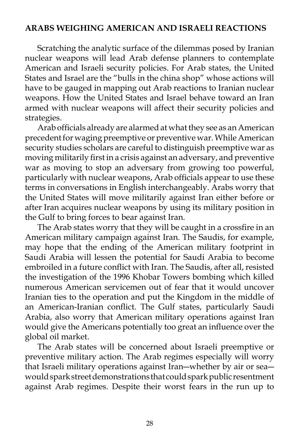## **ARABS WEIGHING AMERICAN AND ISRAELI REACTIONS**

 Scratching the analytic surface of the dilemmas posed by Iranian nuclear weapons will lead Arab defense planners to contemplate American and Israeli security policies. For Arab states, the United States and Israel are the "bulls in the china shop" whose actions will have to be gauged in mapping out Arab reactions to Iranian nuclear weapons. How the United States and Israel behave toward an Iran armed with nuclear weapons will affect their security policies and strategies.

 Arab officials already are alarmed at what they see as an American precedent for waging preemptive or preventive war. While American security studies scholars are careful to distinguish preemptive war as moving militarily first in a crisis against an adversary, and preventive war as moving to stop an adversary from growing too powerful, particularly with nuclear weapons, Arab officials appear to use these terms in conversations in English interchangeably. Arabs worry that the United States will move militarily against Iran either before or after Iran acquires nuclear weapons by using its military position in the Gulf to bring forces to bear against Iran.

 The Arab states worry that they will be caught in a crossfire in an American military campaign against Iran. The Saudis, for example, may hope that the ending of the American military footprint in Saudi Arabia will lessen the potential for Saudi Arabia to become embroiled in a future conflict with Iran. The Saudis, after all, resisted the investigation of the 1996 Khobar Towers bombing which killed numerous American servicemen out of fear that it would uncover Iranian ties to the operation and put the Kingdom in the middle of an American-Iranian conflict. The Gulf states, particularly Saudi Arabia, also worry that American military operations against Iran would give the Americans potentially too great an influence over the global oil market.

 The Arab states will be concerned about Israeli preemptive or preventive military action. The Arab regimes especially will worry that Israeli military operations against Iran―whether by air or sea― would spark street demonstrations that could spark public resentment against Arab regimes. Despite their worst fears in the run up to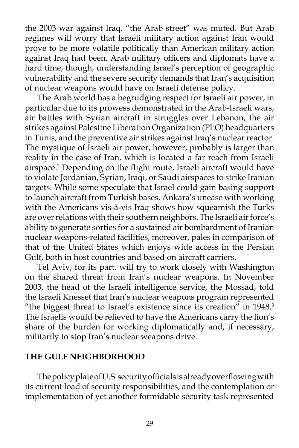the 2003 war against Iraq, "the Arab street" was muted. But Arab regimes will worry that Israeli military action against Iran would prove to be more volatile politically than American military action against Iraq had been. Arab military officers and diplomats have a hard time, though, understanding Israel's perception of geographic vulnerability and the severe security demands that Iran's acquisition of nuclear weapons would have on Israeli defense policy.

 The Arab world has a begrudging respect for Israeli air power, in particular due to its prowess demonstrated in the Arab-Israeli wars, air battles with Syrian aircraft in struggles over Lebanon, the air strikes against Palestine Liberation Organization (PLO) headquarters in Tunis, and the preventive air strikes against Iraq's nuclear reactor. The mystique of Israeli air power, however, probably is larger than reality in the case of Iran, which is located a far reach from Israeli airspace.2 Depending on the flight route, Israeli aircraft would have to violate Jordanian, Syrian, Iraqi, or Saudi airspaces to strike Iranian targets. While some speculate that Israel could gain basing support to launch aircraft from Turkish bases, Ankara's unease with working with the Americans vis-à-vis Iraq shows how squeamish the Turks are over relations with their southern neighbors. The Israeli air force's ability to generate sorties for a sustained air bombardment of Iranian nuclear weapons-related facilities, moreover, pales in comparison of that of the United States which enjoys wide access in the Persian Gulf, both in host countries and based on aircraft carriers.

 Tel Aviv, for its part, will try to work closely with Washington on the shared threat from Iran's nuclear weapons. In November 2003, the head of the Israeli intelligence service, the Mossad, told the Israeli Knesset that Iran's nuclear weapons program represented "the biggest threat to Israel's existence since its creation" in 1948.3 The Israelis would be relieved to have the Americans carry the lion's share of the burden for working diplomatically and, if necessary, militarily to stop Iran's nuclear weapons drive.

#### **THE GULF NEIGHBORHOOD**

 The policy plate of U.S. security officials is already overflowing with its current load of security responsibilities, and the contemplation or implementation of yet another formidable security task represented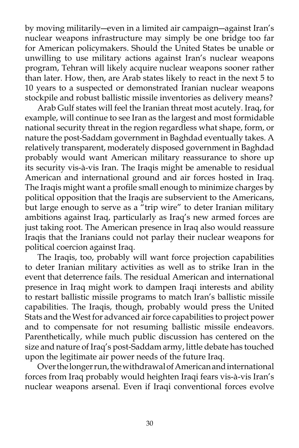by moving militarily―even in a limited air campaign―against Iran's nuclear weapons infrastructure may simply be one bridge too far for American policymakers. Should the United States be unable or unwilling to use military actions against Iran's nuclear weapons program, Tehran will likely acquire nuclear weapons sooner rather than later. How, then, are Arab states likely to react in the next 5 to 10 years to a suspected or demonstrated Iranian nuclear weapons stockpile and robust ballistic missile inventories as delivery means?

 Arab Gulf states will feel the Iranian threat most acutely. Iraq, for example, will continue to see Iran as the largest and most formidable national security threat in the region regardless what shape, form, or nature the post-Saddam government in Baghdad eventually takes. A relatively transparent, moderately disposed government in Baghdad probably would want American military reassurance to shore up its security vis-à-vis Iran. The Iraqis might be amenable to residual American and international ground and air forces hosted in Iraq. The Iraqis might want a profile small enough to minimize charges by political opposition that the Iraqis are subservient to the Americans, but large enough to serve as a "trip wire" to deter Iranian military ambitions against Iraq, particularly as Iraq's new armed forces are just taking root. The American presence in Iraq also would reassure Iraqis that the Iranians could not parlay their nuclear weapons for political coercion against Iraq.

 The Iraqis, too, probably will want force projection capabilities to deter Iranian military activities as well as to strike Iran in the event that deterrence fails. The residual American and international presence in Iraq might work to dampen Iraqi interests and ability to restart ballistic missile programs to match Iran's ballistic missile capabilities. The Iraqis, though, probably would press the United Stats and the West for advanced air force capabilities to project power and to compensate for not resuming ballistic missile endeavors. Parenthetically, while much public discussion has centered on the size and nature of Iraq's post-Saddam army, little debate has touched upon the legitimate air power needs of the future Iraq.

 Over the longer run, the withdrawal of American and international forces from Iraq probably would heighten Iraqi fears vis-à-vis Iran's nuclear weapons arsenal. Even if Iraqi conventional forces evolve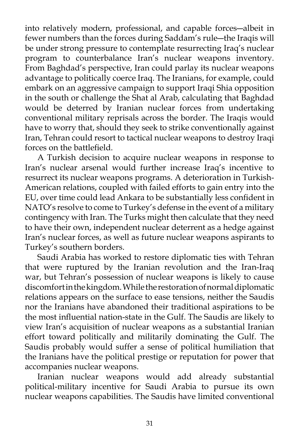into relatively modern, professional, and capable forces―albeit in fewer numbers than the forces during Saddam's rule―the Iraqis will be under strong pressure to contemplate resurrecting Iraq's nuclear program to counterbalance Iran's nuclear weapons inventory. From Baghdad's perspective, Iran could parlay its nuclear weapons advantage to politically coerce Iraq. The Iranians, for example, could embark on an aggressive campaign to support Iraqi Shia opposition in the south or challenge the Shat al Arab, calculating that Baghdad would be deterred by Iranian nuclear forces from undertaking conventional military reprisals across the border. The Iraqis would have to worry that, should they seek to strike conventionally against Iran, Tehran could resort to tactical nuclear weapons to destroy Iraqi forces on the battlefield.

 A Turkish decision to acquire nuclear weapons in response to Iran's nuclear arsenal would further increase Iraq's incentive to resurrect its nuclear weapons programs. A deterioration in Turkish-American relations, coupled with failed efforts to gain entry into the EU, over time could lead Ankara to be substantially less confident in NATO's resolve to come to Turkey's defense in the event of a military contingency with Iran. The Turks might then calculate that they need to have their own, independent nuclear deterrent as a hedge against Iran's nuclear forces, as well as future nuclear weapons aspirants to Turkey's southern borders.

 Saudi Arabia has worked to restore diplomatic ties with Tehran that were ruptured by the Iranian revolution and the Iran-Iraq war, but Tehran's possession of nuclear weapons is likely to cause discomfort in the kingdom. While the restoration of normal diplomatic relations appears on the surface to ease tensions, neither the Saudis nor the Iranians have abandoned their traditional aspirations to be the most influential nation-state in the Gulf. The Saudis are likely to view Iran's acquisition of nuclear weapons as a substantial Iranian effort toward politically and militarily dominating the Gulf. The Saudis probably would suffer a sense of political humiliation that the Iranians have the political prestige or reputation for power that accompanies nuclear weapons.

 Iranian nuclear weapons would add already substantial political-military incentive for Saudi Arabia to pursue its own nuclear weapons capabilities. The Saudis have limited conventional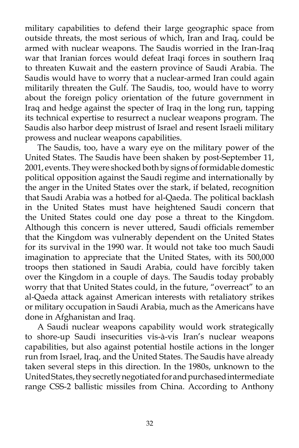military capabilities to defend their large geographic space from outside threats, the most serious of which, Iran and Iraq, could be armed with nuclear weapons. The Saudis worried in the Iran-Iraq war that Iranian forces would defeat Iraqi forces in southern Iraq to threaten Kuwait and the eastern province of Saudi Arabia. The Saudis would have to worry that a nuclear-armed Iran could again militarily threaten the Gulf. The Saudis, too, would have to worry about the foreign policy orientation of the future government in Iraq and hedge against the specter of Iraq in the long run, tapping its technical expertise to resurrect a nuclear weapons program. The Saudis also harbor deep mistrust of Israel and resent Israeli military prowess and nuclear weapons capabilities.

 The Saudis, too, have a wary eye on the military power of the United States. The Saudis have been shaken by post-September 11, 2001, events. They were shocked both by signs of formidable domestic political opposition against the Saudi regime and internationally by the anger in the United States over the stark, if belated, recognition that Saudi Arabia was a hotbed for al-Qaeda. The political backlash in the United States must have heightened Saudi concern that the United States could one day pose a threat to the Kingdom. Although this concern is never uttered, Saudi officials remember that the Kingdom was vulnerably dependent on the United States for its survival in the 1990 war. It would not take too much Saudi imagination to appreciate that the United States, with its 500,000 troops then stationed in Saudi Arabia, could have forcibly taken over the Kingdom in a couple of days. The Saudis today probably worry that that United States could, in the future, "overreact" to an al-Qaeda attack against American interests with retaliatory strikes or military occupation in Saudi Arabia, much as the Americans have done in Afghanistan and Iraq.

 A Saudi nuclear weapons capability would work strategically to shore-up Saudi insecurities vis-à-vis Iran's nuclear weapons capabilities, but also against potential hostile actions in the longer run from Israel, Iraq, and the United States. The Saudis have already taken several steps in this direction. In the 1980s, unknown to the United States, they secretly negotiated for and purchased intermediate range CSS-2 ballistic missiles from China. According to Anthony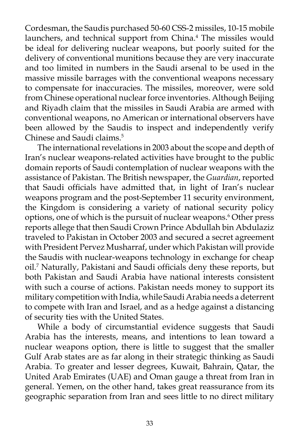Cordesman, the Saudis purchased 50-60 CSS-2 missiles, 10-15 mobile launchers, and technical support from China.<sup>4</sup> The missiles would be ideal for delivering nuclear weapons, but poorly suited for the delivery of conventional munitions because they are very inaccurate and too limited in numbers in the Saudi arsenal to be used in the massive missile barrages with the conventional weapons necessary to compensate for inaccuracies. The missiles, moreover, were sold from Chinese operational nuclear force inventories. Although Beijing and Riyadh claim that the missiles in Saudi Arabia are armed with conventional weapons, no American or international observers have been allowed by the Saudis to inspect and independently verify Chinese and Saudi claims.<sup>5</sup>

 The international revelations in 2003 about the scope and depth of Iran's nuclear weapons-related activities have brought to the public domain reports of Saudi contemplation of nuclear weapons with the assistance of Pakistan. The British newspaper, the *Guardian*, reported that Saudi officials have admitted that, in light of Iran's nuclear weapons program and the post-September 11 security environment, the Kingdom is considering a variety of national security policy options, one of which is the pursuit of nuclear weapons.<sup>6</sup> Other press reports allege that then Saudi Crown Prince Abdullah bin Abdulaziz traveled to Pakistan in October 2003 and secured a secret agreement with President Pervez Musharraf, under which Pakistan will provide the Saudis with nuclear-weapons technology in exchange for cheap oil.7 Naturally, Pakistani and Saudi officials deny these reports, but both Pakistan and Saudi Arabia have national interests consistent with such a course of actions. Pakistan needs money to support its military competition with India, while Saudi Arabia needs a deterrent to compete with Iran and Israel, and as a hedge against a distancing of security ties with the United States.

 While a body of circumstantial evidence suggests that Saudi Arabia has the interests, means, and intentions to lean toward a nuclear weapons option, there is little to suggest that the smaller Gulf Arab states are as far along in their strategic thinking as Saudi Arabia. To greater and lesser degrees, Kuwait, Bahrain, Qatar, the United Arab Emirates (UAE) and Oman gauge a threat from Iran in general. Yemen, on the other hand, takes great reassurance from its geographic separation from Iran and sees little to no direct military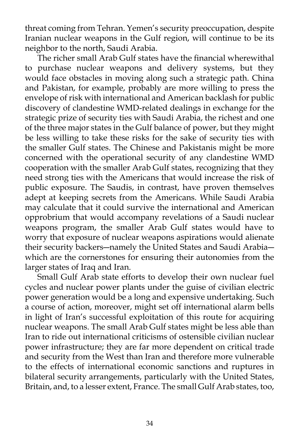threat coming from Tehran. Yemen's security preoccupation, despite Iranian nuclear weapons in the Gulf region, will continue to be its neighbor to the north, Saudi Arabia.

 The richer small Arab Gulf states have the financial wherewithal to purchase nuclear weapons and delivery systems, but they would face obstacles in moving along such a strategic path. China and Pakistan, for example, probably are more willing to press the envelope of risk with international and American backlash for public discovery of clandestine WMD-related dealings in exchange for the strategic prize of security ties with Saudi Arabia, the richest and one of the three major states in the Gulf balance of power, but they might be less willing to take these risks for the sake of security ties with the smaller Gulf states. The Chinese and Pakistanis might be more concerned with the operational security of any clandestine WMD cooperation with the smaller Arab Gulf states, recognizing that they need strong ties with the Americans that would increase the risk of public exposure. The Saudis, in contrast, have proven themselves adept at keeping secrets from the Americans. While Saudi Arabia may calculate that it could survive the international and American opprobrium that would accompany revelations of a Saudi nuclear weapons program, the smaller Arab Gulf states would have to worry that exposure of nuclear weapons aspirations would alienate their security backers―namely the United States and Saudi Arabia― which are the cornerstones for ensuring their autonomies from the larger states of Iraq and Iran.

 Small Gulf Arab state efforts to develop their own nuclear fuel cycles and nuclear power plants under the guise of civilian electric power generation would be a long and expensive undertaking. Such a course of action, moreover, might set off international alarm bells in light of Iran's successful exploitation of this route for acquiring nuclear weapons. The small Arab Gulf states might be less able than Iran to ride out international criticisms of ostensible civilian nuclear power infrastructure; they are far more dependent on critical trade and security from the West than Iran and therefore more vulnerable to the effects of international economic sanctions and ruptures in bilateral security arrangements, particularly with the United States, Britain, and, to a lesser extent, France. The small Gulf Arab states, too,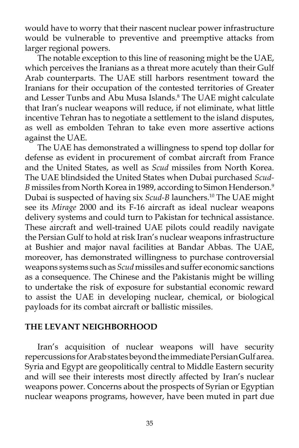would have to worry that their nascent nuclear power infrastructure would be vulnerable to preventive and preemptive attacks from larger regional powers.

 The notable exception to this line of reasoning might be the UAE, which perceives the Iranians as a threat more acutely than their Gulf Arab counterparts. The UAE still harbors resentment toward the Iranians for their occupation of the contested territories of Greater and Lesser Tunbs and Abu Musa Islands.<sup>8</sup> The UAE might calculate that Iran's nuclear weapons will reduce, if not eliminate, what little incentive Tehran has to negotiate a settlement to the island disputes, as well as embolden Tehran to take even more assertive actions against the UAE.

 The UAE has demonstrated a willingness to spend top dollar for defense as evident in procurement of combat aircraft from France and the United States, as well as *Scud* missiles from North Korea. The UAE blindsided the United States when Dubai purchased *Scud-B* missiles from North Korea in 1989, according to Simon Henderson.9 Dubai is suspected of having six *Scud-B* launchers.10 The UAE might see its *Mirage* 2000 and its F-16 aircraft as ideal nuclear weapons delivery systems and could turn to Pakistan for technical assistance. These aircraft and well-trained UAE pilots could readily navigate the Persian Gulf to hold at risk Iran's nuclear weapons infrastructure at Bushier and major naval facilities at Bandar Abbas. The UAE, moreover, has demonstrated willingness to purchase controversial weapons systems such as *Scud* missiles and suffer economic sanctions as a consequence. The Chinese and the Pakistanis might be willing to undertake the risk of exposure for substantial economic reward to assist the UAE in developing nuclear, chemical, or biological payloads for its combat aircraft or ballistic missiles.

### **THE LEVANT NEIGHBORHOOD**

 Iran's acquisition of nuclear weapons will have security repercussions for Arab states beyond the immediate Persian Gulf area. Syria and Egypt are geopolitically central to Middle Eastern security and will see their interests most directly affected by Iran's nuclear weapons power. Concerns about the prospects of Syrian or Egyptian nuclear weapons programs, however, have been muted in part due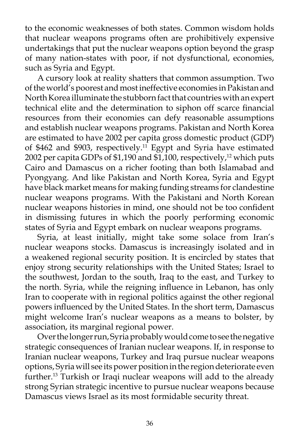to the economic weaknesses of both states. Common wisdom holds that nuclear weapons programs often are prohibitively expensive undertakings that put the nuclear weapons option beyond the grasp of many nation-states with poor, if not dysfunctional, economies, such as Syria and Egypt.

 A cursory look at reality shatters that common assumption. Two of the world's poorest and most ineffective economies in Pakistan and North Korea illuminate the stubborn fact that countries with an expert technical elite and the determination to siphon off scarce financial resources from their economies can defy reasonable assumptions and establish nuclear weapons programs. Pakistan and North Korea are estimated to have 2002 per capita gross domestic product (GDP) of \$462 and \$903, respectively.11 Egypt and Syria have estimated 2002 per capita GDPs of \$1,190 and  $$1,100$ , respectively,<sup>12</sup> which puts Cairo and Damascus on a richer footing than both Islamabad and Pyongyang. And like Pakistan and North Korea, Syria and Egypt have black market means for making funding streams for clandestine nuclear weapons programs. With the Pakistani and North Korean nuclear weapons histories in mind, one should not be too confident in dismissing futures in which the poorly performing economic states of Syria and Egypt embark on nuclear weapons programs.

 Syria, at least initially, might take some solace from Iran's nuclear weapons stocks. Damascus is increasingly isolated and in a weakened regional security position. It is encircled by states that enjoy strong security relationships with the United States; Israel to the southwest, Jordan to the south, Iraq to the east, and Turkey to the north. Syria, while the reigning influence in Lebanon, has only Iran to cooperate with in regional politics against the other regional powers influenced by the United States. In the short term, Damascus might welcome Iran's nuclear weapons as a means to bolster, by association, its marginal regional power.

 Over the longer run, Syria probably would come to see the negative strategic consequences of Iranian nuclear weapons. If, in response to Iranian nuclear weapons, Turkey and Iraq pursue nuclear weapons options, Syria will see its power position in the region deteriorate even further.<sup>13</sup> Turkish or Iraqi nuclear weapons will add to the already strong Syrian strategic incentive to pursue nuclear weapons because Damascus views Israel as its most formidable security threat.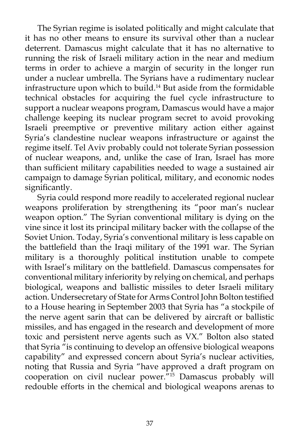The Syrian regime is isolated politically and might calculate that it has no other means to ensure its survival other than a nuclear deterrent. Damascus might calculate that it has no alternative to running the risk of Israeli military action in the near and medium terms in order to achieve a margin of security in the longer run under a nuclear umbrella. The Syrians have a rudimentary nuclear infrastructure upon which to build.<sup>14</sup> But aside from the formidable technical obstacles for acquiring the fuel cycle infrastructure to support a nuclear weapons program, Damascus would have a major challenge keeping its nuclear program secret to avoid provoking Israeli preemptive or preventive military action either against Syria's clandestine nuclear weapons infrastructure or against the regime itself. Tel Aviv probably could not tolerate Syrian possession of nuclear weapons, and, unlike the case of Iran, Israel has more than sufficient military capabilities needed to wage a sustained air campaign to damage Syrian political, military, and economic nodes significantly.

 Syria could respond more readily to accelerated regional nuclear weapons proliferation by strengthening its "poor man's nuclear weapon option." The Syrian conventional military is dying on the vine since it lost its principal military backer with the collapse of the Soviet Union. Today, Syria's conventional military is less capable on the battlefield than the Iraqi military of the 1991 war. The Syrian military is a thoroughly political institution unable to compete with Israel's military on the battlefield. Damascus compensates for conventional military inferiority by relying on chemical, and perhaps biological, weapons and ballistic missiles to deter Israeli military action. Undersecretary of State for Arms Control John Bolton testified to a House hearing in September 2003 that Syria has "a stockpile of the nerve agent sarin that can be delivered by aircraft or ballistic missiles, and has engaged in the research and development of more toxic and persistent nerve agents such as VX." Bolton also stated that Syria "is continuing to develop an offensive biological weapons capability" and expressed concern about Syria's nuclear activities, noting that Russia and Syria "have approved a draft program on cooperation on civil nuclear power."15 Damascus probably will redouble efforts in the chemical and biological weapons arenas to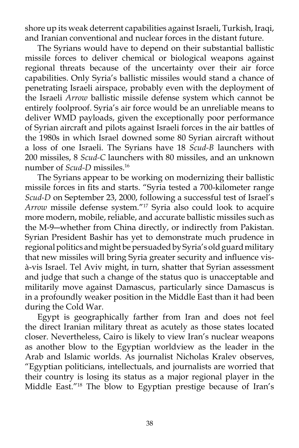shore up its weak deterrent capabilities against Israeli, Turkish, Iraqi, and Iranian conventional and nuclear forces in the distant future.

 The Syrians would have to depend on their substantial ballistic missile forces to deliver chemical or biological weapons against regional threats because of the uncertainty over their air force capabilities. Only Syria's ballistic missiles would stand a chance of penetrating Israeli airspace, probably even with the deployment of the Israeli *Arrow* ballistic missile defense system which cannot be entirely foolproof. Syria's air force would be an unreliable means to deliver WMD payloads, given the exceptionally poor performance of Syrian aircraft and pilots against Israeli forces in the air battles of the 1980s in which Israel downed some 80 Syrian aircraft without a loss of one Israeli. The Syrians have 18 *Scud-B* launchers with 200 missiles, 8 *Scud-C* launchers with 80 missiles, and an unknown number of *Scud-D* missiles.<sup>16</sup>

 The Syrians appear to be working on modernizing their ballistic missile forces in fits and starts. "Syria tested a 700-kilometer range *Scud-D* on September 23, 2000, following a successful test of Israel's *Arrow* missile defense system."17 Syria also could look to acquire more modern, mobile, reliable, and accurate ballistic missiles such as the M-9―whether from China directly, or indirectly from Pakistan. Syrian President Bashir has yet to demonstrate much prudence in regional politics and might be persuaded by Syria's old guard military that new missiles will bring Syria greater security and influence visà-vis Israel. Tel Aviv might, in turn, shatter that Syrian assessment and judge that such a change of the status quo is unacceptable and militarily move against Damascus, particularly since Damascus is in a profoundly weaker position in the Middle East than it had been during the Cold War.

 Egypt is geographically farther from Iran and does not feel the direct Iranian military threat as acutely as those states located closer. Nevertheless, Cairo is likely to view Iran's nuclear weapons as another blow to the Egyptian worldview as the leader in the Arab and Islamic worlds. As journalist Nicholas Kralev observes, "Egyptian politicians, intellectuals, and journalists are worried that their country is losing its status as a major regional player in the Middle East."18 The blow to Egyptian prestige because of Iran's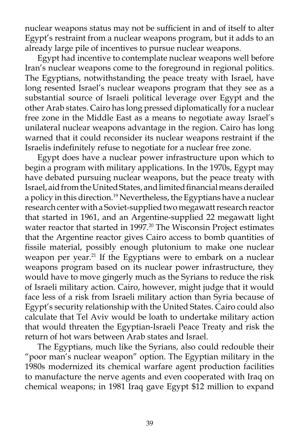nuclear weapons status may not be sufficient in and of itself to alter Egypt's restraint from a nuclear weapons program, but it adds to an already large pile of incentives to pursue nuclear weapons.

 Egypt had incentive to contemplate nuclear weapons well before Iran's nuclear weapons come to the foreground in regional politics. The Egyptians, notwithstanding the peace treaty with Israel, have long resented Israel's nuclear weapons program that they see as a substantial source of Israeli political leverage over Egypt and the other Arab states. Cairo has long pressed diplomatically for a nuclear free zone in the Middle East as a means to negotiate away Israel's unilateral nuclear weapons advantage in the region. Cairo has long warned that it could reconsider its nuclear weapons restraint if the Israelis indefinitely refuse to negotiate for a nuclear free zone.

 Egypt does have a nuclear power infrastructure upon which to begin a program with military applications. In the 1970s, Egypt may have debated pursuing nuclear weapons, but the peace treaty with Israel, aid from the United States, and limited financial means derailed a policy in this direction.<sup>19</sup> Nevertheless, the Egyptians have a nuclear research center with a Soviet-supplied two megawatt research reactor that started in 1961, and an Argentine-supplied 22 megawatt light water reactor that started in 1997.<sup>20</sup> The Wisconsin Project estimates that the Argentine reactor gives Cairo access to bomb quantities of fissile material, possibly enough plutonium to make one nuclear weapon per year.<sup>21</sup> If the Egyptians were to embark on a nuclear weapons program based on its nuclear power infrastructure, they would have to move gingerly much as the Syrians to reduce the risk of Israeli military action. Cairo, however, might judge that it would face less of a risk from Israeli military action than Syria because of Egypt's security relationship with the United States. Cairo could also calculate that Tel Aviv would be loath to undertake military action that would threaten the Egyptian-Israeli Peace Treaty and risk the return of hot wars between Arab states and Israel.

 The Egyptians, much like the Syrians, also could redouble their "poor man's nuclear weapon" option. The Egyptian military in the 1980s modernized its chemical warfare agent production facilities to manufacture the nerve agents and even cooperated with Iraq on chemical weapons; in 1981 Iraq gave Egypt \$12 million to expand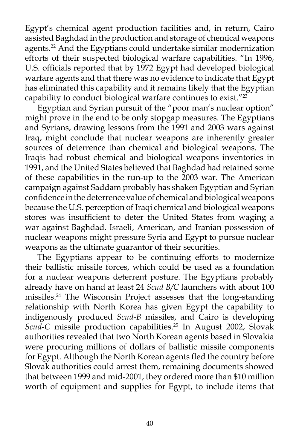Egypt's chemical agent production facilities and, in return, Cairo assisted Baghdad in the production and storage of chemical weapons agents.<sup>22</sup> And the Egyptians could undertake similar modernization efforts of their suspected biological warfare capabilities. "In 1996, U.S. officials reported that by 1972 Egypt had developed biological warfare agents and that there was no evidence to indicate that Egypt has eliminated this capability and it remains likely that the Egyptian capability to conduct biological warfare continues to exist."<sup>23</sup>

 Egyptian and Syrian pursuit of the "poor man's nuclear option" might prove in the end to be only stopgap measures. The Egyptians and Syrians, drawing lessons from the 1991 and 2003 wars against Iraq, might conclude that nuclear weapons are inherently greater sources of deterrence than chemical and biological weapons. The Iraqis had robust chemical and biological weapons inventories in 1991, and the United States believed that Baghdad had retained some of these capabilities in the run-up to the 2003 war. The American campaign against Saddam probably has shaken Egyptian and Syrian confidence in the deterrence value of chemical and biological weapons because the U.S. perception of Iraqi chemical and biological weapons stores was insufficient to deter the United States from waging a war against Baghdad. Israeli, American, and Iranian possession of nuclear weapons might pressure Syria and Egypt to pursue nuclear weapons as the ultimate guarantor of their securities.

 The Egyptians appear to be continuing efforts to modernize their ballistic missile forces, which could be used as a foundation for a nuclear weapons deterrent posture. The Egyptians probably already have on hand at least 24 *Scud B/C* launchers with about 100 missiles.24 The Wisconsin Project assesses that the long-standing relationship with North Korea has given Egypt the capability to indigenously produced *Scud-B* missiles, and Cairo is developing *Scud-C* missile production capabilities.25 In August 2002, Slovak authorities revealed that two North Korean agents based in Slovakia were procuring millions of dollars of ballistic missile components for Egypt. Although the North Korean agents fled the country before Slovak authorities could arrest them, remaining documents showed that between 1999 and mid-2001, they ordered more than \$10 million worth of equipment and supplies for Egypt, to include items that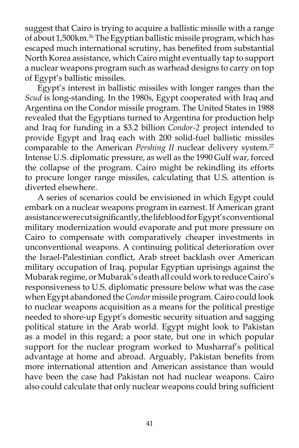suggest that Cairo is trying to acquire a ballistic missile with a range of about 1,500km.<sup>26</sup> The Egyptian ballistic missile program, which has escaped much international scrutiny, has benefited from substantial North Korea assistance, which Cairo might eventually tap to support a nuclear weapons program such as warhead designs to carry on top of Egypt's ballistic missiles.

 Egypt's interest in ballistic missiles with longer ranges than the *Scud* is long-standing. In the 1980s, Egypt cooperated with Iraq and Argentina on the Condor missile program. The United States in 1988 revealed that the Egyptians turned to Argentina for production help and Iraq for funding in a \$3.2 billion *Condor-2* project intended to provide Egypt and Iraq each with 200 solid-fuel ballistic missiles comparable to the American *Pershing II* nuclear delivery system.<sup>27</sup> Intense U.S. diplomatic pressure, as well as the 1990 Gulf war, forced the collapse of the program. Cairo might be rekindling its efforts to procure longer range missiles, calculating that U.S. attention is diverted elsewhere.

 A series of scenarios could be envisioned in which Egypt could embark on a nuclear weapons program in earnest. If American grant assistance were cut significantly, the lifeblood for Egypt's conventional military modernization would evaporate and put more pressure on Cairo to compensate with comparatively cheaper investments in unconventional weapons. A continuing political deterioration over the Israel-Palestinian conflict, Arab street backlash over American military occupation of Iraq, popular Egyptian uprisings against the Mubarak regime, or Mubarak's death all could work to reduce Cairo's responsiveness to U.S. diplomatic pressure below what was the case when Egypt abandoned the *Condor* missile program. Cairo could look to nuclear weapons acquisition as a means for the political prestige needed to shore-up Egypt's domestic security situation and sagging political stature in the Arab world. Egypt might look to Pakistan as a model in this regard; a poor state, but one in which popular support for the nuclear program worked to Musharraf's political advantage at home and abroad. Arguably, Pakistan benefits from more international attention and American assistance than would have been the case had Pakistan not had nuclear weapons. Cairo also could calculate that only nuclear weapons could bring sufficient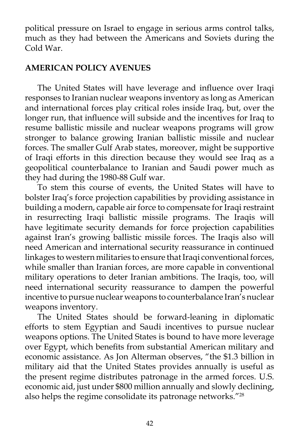political pressure on Israel to engage in serious arms control talks, much as they had between the Americans and Soviets during the Cold War.

# **AMERICAN POLICY AVENUES**

 The United States will have leverage and influence over Iraqi responses to Iranian nuclear weapons inventory as long as American and international forces play critical roles inside Iraq, but, over the longer run, that influence will subside and the incentives for Iraq to resume ballistic missile and nuclear weapons programs will grow stronger to balance growing Iranian ballistic missile and nuclear forces. The smaller Gulf Arab states, moreover, might be supportive of Iraqi efforts in this direction because they would see Iraq as a geopolitical counterbalance to Iranian and Saudi power much as they had during the 1980-88 Gulf war.

 To stem this course of events, the United States will have to bolster Iraq's force projection capabilities by providing assistance in building a modern, capable air force to compensate for Iraqi restraint in resurrecting Iraqi ballistic missile programs. The Iraqis will have legitimate security demands for force projection capabilities against Iran's growing ballistic missile forces. The Iraqis also will need American and international security reassurance in continued linkages to western militaries to ensure that Iraqi conventional forces, while smaller than Iranian forces, are more capable in conventional military operations to deter Iranian ambitions. The Iraqis, too, will need international security reassurance to dampen the powerful incentive to pursue nuclear weapons to counterbalance Iran's nuclear weapons inventory.

 The United States should be forward-leaning in diplomatic efforts to stem Egyptian and Saudi incentives to pursue nuclear weapons options. The United States is bound to have more leverage over Egypt, which benefits from substantial American military and economic assistance. As Jon Alterman observes, "the \$1.3 billion in military aid that the United States provides annually is useful as the present regime distributes patronage in the armed forces. U.S. economic aid, just under \$800 million annually and slowly declining, also helps the regime consolidate its patronage networks."28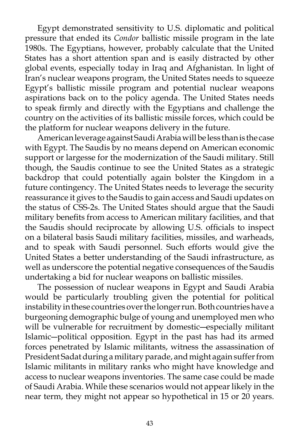Egypt demonstrated sensitivity to U.S. diplomatic and political pressure that ended its *Condor* ballistic missile program in the late 1980s. The Egyptians, however, probably calculate that the United States has a short attention span and is easily distracted by other global events, especially today in Iraq and Afghanistan. In light of Iran's nuclear weapons program, the United States needs to squeeze Egypt's ballistic missile program and potential nuclear weapons aspirations back on to the policy agenda. The United States needs to speak firmly and directly with the Egyptians and challenge the country on the activities of its ballistic missile forces, which could be the platform for nuclear weapons delivery in the future.

 American leverage against Saudi Arabia will be less than is the case with Egypt. The Saudis by no means depend on American economic support or largesse for the modernization of the Saudi military. Still though, the Saudis continue to see the United States as a strategic backdrop that could potentially again bolster the Kingdom in a future contingency. The United States needs to leverage the security reassurance it gives to the Saudis to gain access and Saudi updates on the status of CSS-2s. The United States should argue that the Saudi military benefits from access to American military facilities, and that the Saudis should reciprocate by allowing U.S. officials to inspect on a bilateral basis Saudi military facilities, missiles, and warheads, and to speak with Saudi personnel. Such efforts would give the United States a better understanding of the Saudi infrastructure, as well as underscore the potential negative consequences of the Saudis undertaking a bid for nuclear weapons on ballistic missiles.

 The possession of nuclear weapons in Egypt and Saudi Arabia would be particularly troubling given the potential for political instability in these countries over the longer run. Both countries have a burgeoning demographic bulge of young and unemployed men who will be vulnerable for recruitment by domestic―especially militant Islamic―political opposition. Egypt in the past has had its armed forces penetrated by Islamic militants, witness the assassination of President Sadat during a military parade, and might again suffer from Islamic militants in military ranks who might have knowledge and access to nuclear weapons inventories. The same case could be made of Saudi Arabia. While these scenarios would not appear likely in the near term, they might not appear so hypothetical in 15 or 20 years.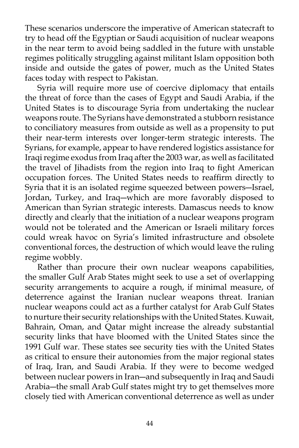These scenarios underscore the imperative of American statecraft to try to head off the Egyptian or Saudi acquisition of nuclear weapons in the near term to avoid being saddled in the future with unstable regimes politically struggling against militant Islam opposition both inside and outside the gates of power, much as the United States faces today with respect to Pakistan.

 Syria will require more use of coercive diplomacy that entails the threat of force than the cases of Egypt and Saudi Arabia, if the United States is to discourage Syria from undertaking the nuclear weapons route. The Syrians have demonstrated a stubborn resistance to conciliatory measures from outside as well as a propensity to put their near-term interests over longer-term strategic interests. The Syrians, for example, appear to have rendered logistics assistance for Iraqi regime exodus from Iraq after the 2003 war, as well as facilitated the travel of Jihadists from the region into Iraq to fight American occupation forces. The United States needs to reaffirm directly to Syria that it is an isolated regime squeezed between powers―Israel, Jordan, Turkey, and Iraq―which are more favorably disposed to American than Syrian strategic interests. Damascus needs to know directly and clearly that the initiation of a nuclear weapons program would not be tolerated and the American or Israeli military forces could wreak havoc on Syria's limited infrastructure and obsolete conventional forces, the destruction of which would leave the ruling regime wobbly.

 Rather than procure their own nuclear weapons capabilities, the smaller Gulf Arab States might seek to use a set of overlapping security arrangements to acquire a rough, if minimal measure, of deterrence against the Iranian nuclear weapons threat. Iranian nuclear weapons could act as a further catalyst for Arab Gulf States to nurture their security relationships with the United States. Kuwait, Bahrain, Oman, and Qatar might increase the already substantial security links that have bloomed with the United States since the 1991 Gulf war. These states see security ties with the United States as critical to ensure their autonomies from the major regional states of Iraq, Iran, and Saudi Arabia. If they were to become wedged between nuclear powers in Iran―and subsequently in Iraq and Saudi Arabia―the small Arab Gulf states might try to get themselves more closely tied with American conventional deterrence as well as under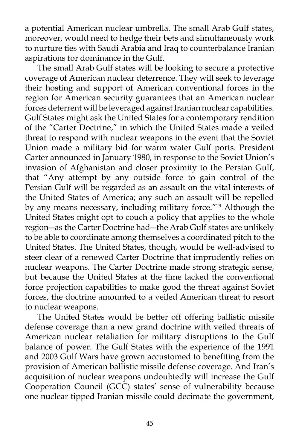a potential American nuclear umbrella. The small Arab Gulf states, moreover, would need to hedge their bets and simultaneously work to nurture ties with Saudi Arabia and Iraq to counterbalance Iranian aspirations for dominance in the Gulf.

 The small Arab Gulf states will be looking to secure a protective coverage of American nuclear deterrence. They will seek to leverage their hosting and support of American conventional forces in the region for American security guarantees that an American nuclear forces deterrent will be leveraged against Iranian nuclear capabilities. Gulf States might ask the United States for a contemporary rendition of the "Carter Doctrine," in which the United States made a veiled threat to respond with nuclear weapons in the event that the Soviet Union made a military bid for warm water Gulf ports. President Carter announced in January 1980, in response to the Soviet Union's invasion of Afghanistan and closer proximity to the Persian Gulf, that "Any attempt by any outside force to gain control of the Persian Gulf will be regarded as an assault on the vital interests of the United States of America; any such an assault will be repelled by any means necessary, including military force."<sup>29</sup> Although the United States might opt to couch a policy that applies to the whole region―as the Carter Doctrine had―the Arab Gulf states are unlikely to be able to coordinate among themselves a coordinated pitch to the United States. The United States, though, would be well-advised to steer clear of a renewed Carter Doctrine that imprudently relies on nuclear weapons. The Carter Doctrine made strong strategic sense, but because the United States at the time lacked the conventional force projection capabilities to make good the threat against Soviet forces, the doctrine amounted to a veiled American threat to resort to nuclear weapons.

 The United States would be better off offering ballistic missile defense coverage than a new grand doctrine with veiled threats of American nuclear retaliation for military disruptions to the Gulf balance of power. The Gulf States with the experience of the 1991 and 2003 Gulf Wars have grown accustomed to benefiting from the provision of American ballistic missile defense coverage. And Iran's acquisition of nuclear weapons undoubtedly will increase the Gulf Cooperation Council (GCC) states' sense of vulnerability because one nuclear tipped Iranian missile could decimate the government,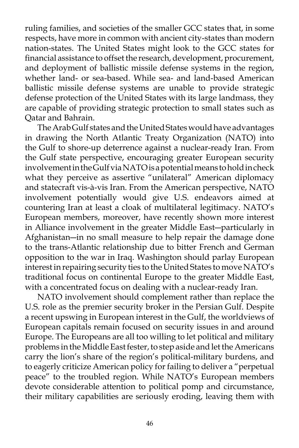ruling families, and societies of the smaller GCC states that, in some respects, have more in common with ancient city-states than modern nation-states. The United States might look to the GCC states for financial assistance to offset the research, development, procurement, and deployment of ballistic missile defense systems in the region, whether land- or sea-based. While sea- and land-based American ballistic missile defense systems are unable to provide strategic defense protection of the United States with its large landmass, they are capable of providing strategic protection to small states such as Qatar and Bahrain.

 The Arab Gulf states and the United States would have advantages in drawing the North Atlantic Treaty Organization (NATO) into the Gulf to shore-up deterrence against a nuclear-ready Iran. From the Gulf state perspective, encouraging greater European security involvement in the Gulf via NATO is a potential means to hold in check what they perceive as assertive "unilateral" American diplomacy and statecraft vis-à-vis Iran. From the American perspective, NATO involvement potentially would give U.S. endeavors aimed at countering Iran at least a cloak of multilateral legitimacy. NATO's European members, moreover, have recently shown more interest in Alliance involvement in the greater Middle East―particularly in Afghanistan―in no small measure to help repair the damage done to the trans-Atlantic relationship due to bitter French and German opposition to the war in Iraq. Washington should parlay European interest in repairing security ties to the United States to move NATO's traditional focus on continental Europe to the greater Middle East, with a concentrated focus on dealing with a nuclear-ready Iran.

 NATO involvement should complement rather than replace the U.S. role as the premier security broker in the Persian Gulf. Despite a recent upswing in European interest in the Gulf, the worldviews of European capitals remain focused on security issues in and around Europe. The Europeans are all too willing to let political and military problems in the Middle East fester, to step aside and let the Americans carry the lion's share of the region's political-military burdens, and to eagerly criticize American policy for failing to deliver a "perpetual peace" to the troubled region. While NATO's European members devote considerable attention to political pomp and circumstance, their military capabilities are seriously eroding, leaving them with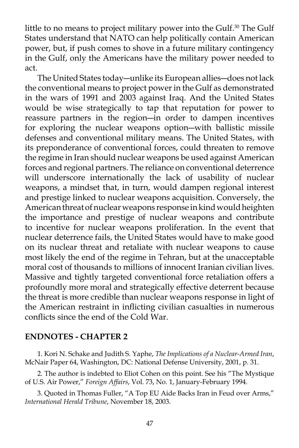little to no means to project military power into the Gulf.<sup>30</sup> The Gulf States understand that NATO can help politically contain American power, but, if push comes to shove in a future military contingency in the Gulf, only the Americans have the military power needed to act.

 The United States today―unlike its European allies―does not lack the conventional means to project power in the Gulf as demonstrated in the wars of 1991 and 2003 against Iraq. And the United States would be wise strategically to tap that reputation for power to reassure partners in the region―in order to dampen incentives for exploring the nuclear weapons option―with ballistic missile defenses and conventional military means. The United States, with its preponderance of conventional forces, could threaten to remove the regime in Iran should nuclear weapons be used against American forces and regional partners. The reliance on conventional deterrence will underscore internationally the lack of usability of nuclear weapons, a mindset that, in turn, would dampen regional interest and prestige linked to nuclear weapons acquisition. Conversely, the American threat of nuclear weapons response in kind would heighten the importance and prestige of nuclear weapons and contribute to incentive for nuclear weapons proliferation. In the event that nuclear deterrence fails, the United States would have to make good on its nuclear threat and retaliate with nuclear weapons to cause most likely the end of the regime in Tehran, but at the unacceptable moral cost of thousands to millions of innocent Iranian civilian lives. Massive and tightly targeted conventional force retaliation offers a profoundly more moral and strategically effective deterrent because the threat is more credible than nuclear weapons response in light of the American restraint in inflicting civilian casualties in numerous conflicts since the end of the Cold War.

## **ENDNOTES - CHAPTER 2**

 1. Kori N. Schake and Judith S. Yaphe, *The Implications of a Nuclear-Armed Iran*, McNair Paper 64, Washington, DC: National Defense University, 2001, p. 31.

 2. The author is indebted to Eliot Cohen on this point. See his "The Mystique of U.S. Air Power," *Foreign Affairs*, Vol. 73, No. 1, January-February 1994.

 3. Quoted in Thomas Fuller, "A Top EU Aide Backs Iran in Feud over Arms," *International Herald Tribune*, November 18, 2003.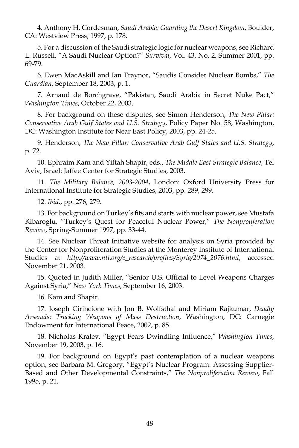4. Anthony H. Cordesman, *Saudi Arabia: Guarding the Desert Kingdom*, Boulder, CA: Westview Press, 1997, p. 178.

 5. For a discussion of the Saudi strategic logic for nuclear weapons, see Richard L. Russell, "A Saudi Nuclear Option?" *Survival*, Vol. 43, No. 2, Summer 2001, pp. 69-79.

 6. Ewen MacAskill and Ian Traynor, "Saudis Consider Nuclear Bombs," *The Guardian*, September 18, 2003, p. 1.

 7. Arnaud de Borchgrave, "Pakistan, Saudi Arabia in Secret Nuke Pact," *Washington Times*, October 22, 2003.

 8. For background on these disputes, see Simon Henderson, *The New Pillar: Conservative Arab Gulf States and U.S. Strategy*, Policy Paper No. 58, Washington, DC: Washington Institute for Near East Policy, 2003, pp. 24-25.

 9. Henderson, *The New Pillar: Conservative Arab Gulf States and U.S. Strategy*, p. 72.

 10. Ephraim Kam and Yiftah Shapir, eds., *The Middle East Strategic Balance*, Tel Aviv, Israel: Jaffee Center for Strategic Studies, 2003.

 11. *The Military Balance, 2003-2004*, London: Oxford University Press for International Institute for Strategic Studies, 2003, pp. 289, 299.

12. *Ibid*., pp. 276, 279.

 13. For background on Turkey's fits and starts with nuclear power, see Mustafa Kibaroglu, "Turkey's Quest for Peaceful Nuclear Power," *The Nonproliferation Review*, Spring-Summer 1997, pp. 33-44.

 14. See Nuclear Threat Initiative website for analysis on Syria provided by the Center for Nonproliferation Studies at the Monterey Institute of International Studies at *http://www.nti.org/e\_research/proflies/Syria/2074\_2076.html*, accessed November 21, 2003.

 15. Quoted in Judith Miller, "Senior U.S. Official to Level Weapons Charges Against Syria," *New York Times*, September 16, 2003.

16. Kam and Shapir.

 17. Joseph Cirincione with Jon B. Wolfsthal and Miriam Rajkumar, *Deadly Arsenals: Tracking Weapons of Mass Destruction*, Washington, DC: Carnegie Endowment for International Peace, 2002, p. 85.

 18. Nicholas Kralev, "Egypt Fears Dwindling Influence," *Washington Times*, November 19, 2003, p. 16.

 19. For background on Egypt's past contemplation of a nuclear weapons option, see Barbara M. Gregory, "Egypt's Nuclear Program: Assessing Supplier-Based and Other Developmental Constraints," *The Nonproliferation Review*, Fall 1995, p. 21.